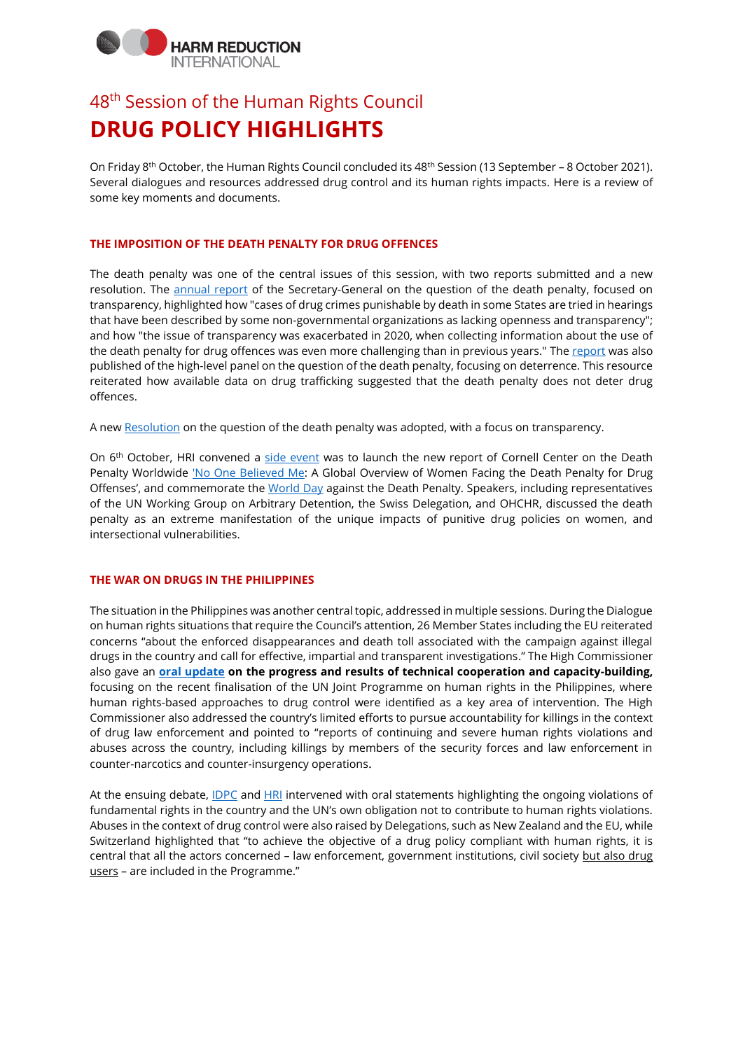# **IARM REDUCTION** INTERNATIONAL

# 48<sup>th</sup> Session of the Human Rights Council **DRUG POLICY HIGHLIGHTS**

On Friday 8th October, the Human Rights Council concluded its 48th Session (13 September – 8 October 2021). Several dialogues and resources addressed drug control and its human rights impacts. Here is a review of some key moments and documents.

## **THE IMPOSITION OF THE DEATH PENALTY FOR DRUG OFFENCES**

The death penalty was one of the central issues of this session, with two reports submitted and a new resolution. The [annual report](https://www.ohchr.org/EN/HRBodies/HRC/RegularSessions/Session48/Documents/A_HRC_48_29_AdvanceUneditedVersion.docx) of the Secretary-General on the question of the death penalty, focused on transparency, highlighted how "cases of drug crimes punishable by death in some States are tried in hearings that have been described by some non-governmental organizations as lacking openness and transparency"; and how "the issue of transparency was exacerbated in 2020, when collecting information about the use of the death penalty for drug offences was even more challenging than in previous years." The [report](https://undocs.org/A/HRC/48/38) was also published of the high-level panel on the question of the death penalty, focusing on deterrence. This resource reiterated how available data on drug trafficking suggested that the death penalty does not deter drug offences.

A new [Resolution](https://documents-dds-ny.un.org/doc/UNDOC/LTD/G21/269/99/PDF/G2126999.pdf?OpenElement) on the question of the death penalty was adopted, with a focus on transparency.

On 6<sup>th</sup> October, HRI convened a [side event](https://twitter.com/HRInews/status/1445705641054642176) was to launch the new report of Cornell Center on the Death Penalty Worldwide ['No One Believed Me:](https://deathpenaltyworldwide.org/publication/no-one-believed-me-a-global-overview-of-women-facing-the-death-penalty-for-drug-offenses/) A Global Overview of Women Facing the Death Penalty for Drug Offenses', and commemorate the [World Day](https://worldcoalition.org/campagne/19th-world-day-against-the-death-penalty/) against the Death Penalty. Speakers, including representatives of the UN Working Group on Arbitrary Detention, the Swiss Delegation, and OHCHR, discussed the death penalty as an extreme manifestation of the unique impacts of punitive drug policies on women, and intersectional vulnerabilities.

### **THE WAR ON DRUGS IN THE PHILIPPINES**

The situation in the Philippines was another central topic, addressed in multiple sessions. During the Dialogue on human rights situations that require the Council's attention, 26 Member States including the EU reiterated concerns "about the enforced disappearances and death toll associated with the campaign against illegal drugs in the country and call for effective, impartial and transparent investigations." The High Commissioner also gave an **[oral update](https://www.ohchr.org/EN/HRBodies/HRC/Pages/NewsDetail.aspx?NewsID=27623&LangID=E) on the progress and results of technical cooperation and capacity-building,**  focusing on the recent finalisation of the UN Joint Programme on human rights in the Philippines, where human rights-based approaches to drug control were identified as a key area of intervention. The High Commissioner also addressed the country's limited efforts to pursue accountability for killings in the context of drug law enforcement and pointed to "reports of continuing and severe human rights violations and abuses across the country, including killings by members of the security forces and law enforcement in counter-narcotics and counter-insurgency operations.

At the ensuing debate, *IDPC* and *HRI* intervened with oral statements highlighting the ongoing violations of fundamental rights in the country and the UN's own obligation not to contribute to human rights violations. Abuses in the context of drug control were also raised by Delegations, such as New Zealand and the EU, while Switzerland highlighted that "to achieve the objective of a drug policy compliant with human rights, it is central that all the actors concerned - law enforcement, government institutions, civil society but also drug users – are included in the Programme."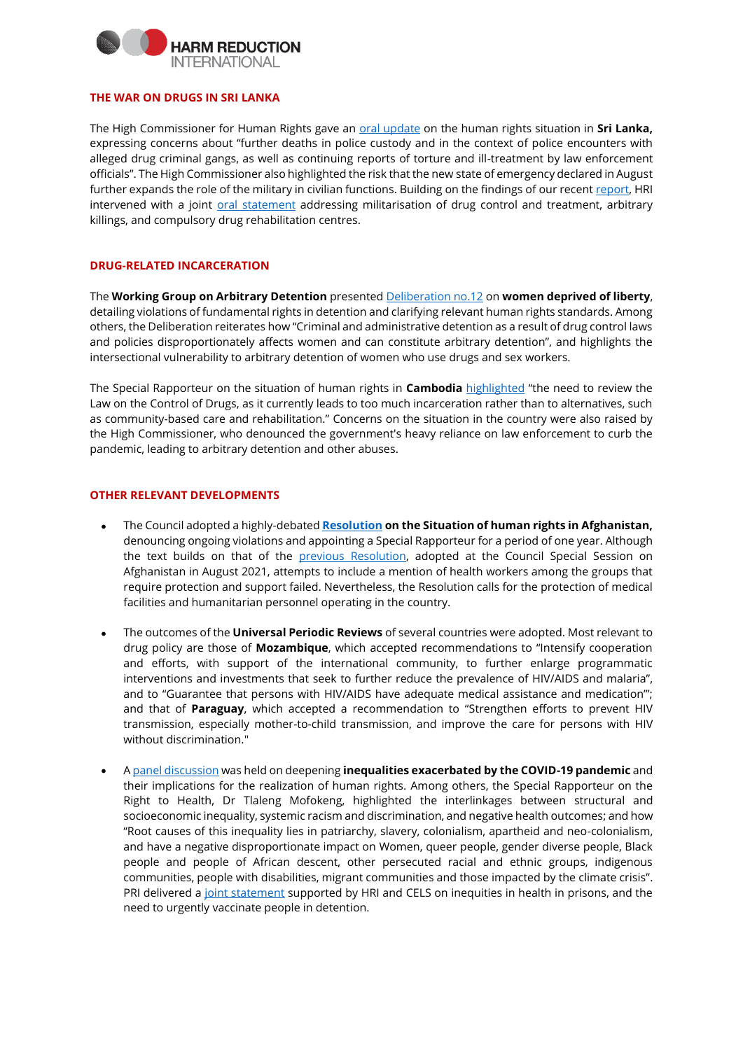

#### **THE WAR ON DRUGS IN SRI LANKA**

The High Commissioner for Human Rights gave an [oral update](https://www.ohchr.org/EN/NewsEvents/Pages/DisplayNews.aspx?NewsID=27447&LangID=E:) on the human rights situation in **Sri Lanka,**  expressing concerns about "further deaths in police custody and in the context of police encounters with alleged drug criminal gangs, as well as continuing reports of torture and ill-treatment by law enforcement officials". The High Commissioner also highlighted the risk that the new state of emergency declared in August further expands the role of the military in civilian functions. Building on the findings of our recen[t report,](https://www.hri.global/drug-control-sri-lanka) HRI intervened with a joint [oral statement](https://www.hri.global/contents/2157) addressing militarisation of drug control and treatment, arbitrary killings, and compulsory drug rehabilitation centres.

### **DRUG-RELATED INCARCERATION**

The **Working Group on Arbitrary Detention** presente[d Deliberation no.12](https://undocs.org/A/HRC/48/55) on **women deprived of liberty**, detailing violations of fundamental rights in detention and clarifying relevant human rights standards. Among others, the Deliberation reiterates how "Criminal and administrative detention as a result of drug control laws and policies disproportionately affects women and can constitute arbitrary detention", and highlights the intersectional vulnerability to arbitrary detention of women who use drugs and sex workers.

The Special Rapporteur on the situation of human rights in **Cambodia** [highlighted](https://undocs.org/A/HRC/48/79) "the need to review the Law on the Control of Drugs, as it currently leads to too much incarceration rather than to alternatives, such as community-based care and rehabilitation." Concerns on the situation in the country were also raised by the High Commissioner, who denounced the government's heavy reliance on law enforcement to curb the pandemic, leading to arbitrary detention and other abuses.

#### **OTHER RELEVANT DEVELOPMENTS**

- The Council adopted a highly-debated **[Resolution](https://undocs.org/a/hrc/48/l.24/rev.1) on the Situation of human rights in Afghanistan,** denouncing ongoing violations and appointing a Special Rapporteur for a period of one year. Although the text builds on that of the [previous Resolution,](https://undocs.org/A/HRC/RES/S-31/1) adopted at the Council Special Session on Afghanistan in August 2021, attempts to include a mention of health workers among the groups that require protection and support failed. Nevertheless, the Resolution calls for the protection of medical facilities and humanitarian personnel operating in the country.
- The outcomes of the **Universal Periodic Reviews** of several countries were adopted. Most relevant to drug policy are those of **Mozambique**, which accepted recommendations to "Intensify cooperation and efforts, with support of the international community, to further enlarge programmatic interventions and investments that seek to further reduce the prevalence of HIV/AIDS and malaria", and to "Guarantee that persons with HIV/AIDS have adequate medical assistance and medication"'; and that of **Paraguay**, which accepted a recommendation to "Strengthen efforts to prevent HIV transmission, especially mother-to-child transmission, and improve the care for persons with HIV without discrimination."
- [A panel discussion](https://www.ohchr.org/EN/HRBodies/HRC/Pages/NewsDetail.aspx?NewsID=27559&LangID=E) was held on deepening **inequalities exacerbated by the COVID-19 pandemic** and their implications for the realization of human rights. Among others, the Special Rapporteur on the Right to Health, Dr Tlaleng Mofokeng, highlighted the interlinkages between structural and socioeconomic inequality, systemic racism and discrimination, and negative health outcomes; and how "Root causes of this inequality lies in patriarchy, slavery, colonialism, apartheid and neo-colonialism, and have a negative disproportionate impact on Women, queer people, gender diverse people, Black people and people of African descent, other persecuted racial and ethnic groups, indigenous communities, people with disabilities, migrant communities and those impacted by the climate crisis". PRI delivered a [joint statement](https://twitter.com/PenalReformInt/status/1442895531341082627) supported by HRI and CELS on inequities in health in prisons, and the need to urgently vaccinate people in detention.